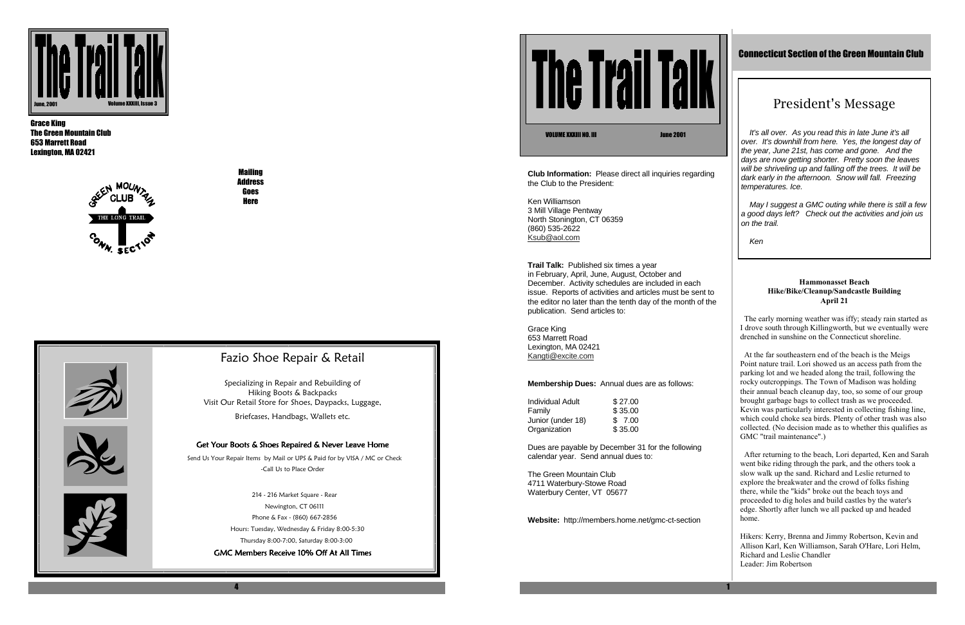4

**The Trail Talk** 

Mailing Address **Goes Here** 

Grace King The Green Mountain Club 653 Marrett Road Lexington, MA 02421



Specializing in Repair and Rebuilding of Hiking Boots & Backpacks Visit Our Retail Store for Shoes, Daypacks, Luggage,



## Fazio Shoe Repair & Retail

 214 - 216 Market Square - Rear Newington, CT 06111 Phone & Fax - (860) 667-2856 Hours: Tuesday, Wednesday & Friday 8:00-5:30 Thursday 8:00-7:00, Saturday 8:00-3:00 GMC Members Receive 10% Off At All Times

Briefcases, Handbags, Wallets etc.

#### Get Your Boots & Shoes Repaired & Never Leave Home

Ken Williamson 3 Mill Village Pentway North Stonington, CT 06359 (860) 535-2622 <u>Ksub@aol.com</u>

 Send Us Your Repair Items by Mail or UPS & Paid for by VISA / MC or Check -Call Us to Place Order



**Club Information:** Please direct all inquiries regarding the Club to the President:

It's all over. As you read this in late June it's all over. It's downhill from here. Yes, the longest day of the year, June 21st, has come and gone. And the days are now getting shorter. Pretty soon the leaves will be shriveling up and falling off the trees. It will be dark early in the afternoon. Snow will fall. Freezing temperatures. Ice.

**Trail Talk:** Published six times a year in February, April, June, August, October and December. Activity schedules are included in each issue. Reports of activities and articles must be sent to the editor no later than the tenth day of the month of the publication. Send articles to:

May I suggest a GMC outing while there is still a few a good days left? Check out the activities and join us on the trail.

Grace King 653 Marrett Road Lexington, MA 02421 Kangti@excite.com

#### **Membership Dues:** Annual dues are as follows:

| Individual Adult  | \$27.00 |
|-------------------|---------|
| Family            | \$35.00 |
| Junior (under 18) | \$7.00  |
| Organization      | \$35.00 |

Dues are payable by December 31 for the following calendar year. Send annual dues to:

The Green Mountain Club 4711 Waterbury-Stowe Road Waterbury Center, VT 05677

**Website:** http://members.home.net/gmc-ct-section



### Connecticut Section of the Green Mountain Club

# President's Message

VOLUME XXXIII NO. III June 2001

Ken

#### **Hammonasset Beach Hike/Bike/Cleanup/Sandcastle Building April 21**

 The early morning weather was iffy; steady rain started as I drove south through Killingworth, but we eventually were drenched in sunshine on the Connecticut shoreline.

 At the far southeastern end of the beach is the Meigs Point nature trail. Lori showed us an access path from the parking lot and we headed along the trail, following the rocky outcroppings. The Town of Madison was holding their annual beach cleanup day, too, so some of our group brought garbage bags to collect trash as we proceeded. Kevin was particularly interested in collecting fishing line, which could choke sea birds. Plenty of other trash was also collected. (No decision made as to whether this qualifies as GMC "trail maintenance".)

 After returning to the beach, Lori departed, Ken and Sarah went bike riding through the park, and the others took a slow walk up the sand. Richard and Leslie returned to explore the breakwater and the crowd of folks fishing there, while the "kids" broke out the beach toys and proceeded to dig holes and build castles by the water's edge. Shortly after lunch we all packed up and headed home.

Hikers: Kerry, Brenna and Jimmy Robertson, Kevin and Allison Karl, Ken Williamson, Sarah O'Hare, Lori Helm, Richard and Leslie Chandler Leader: Jim Robertson